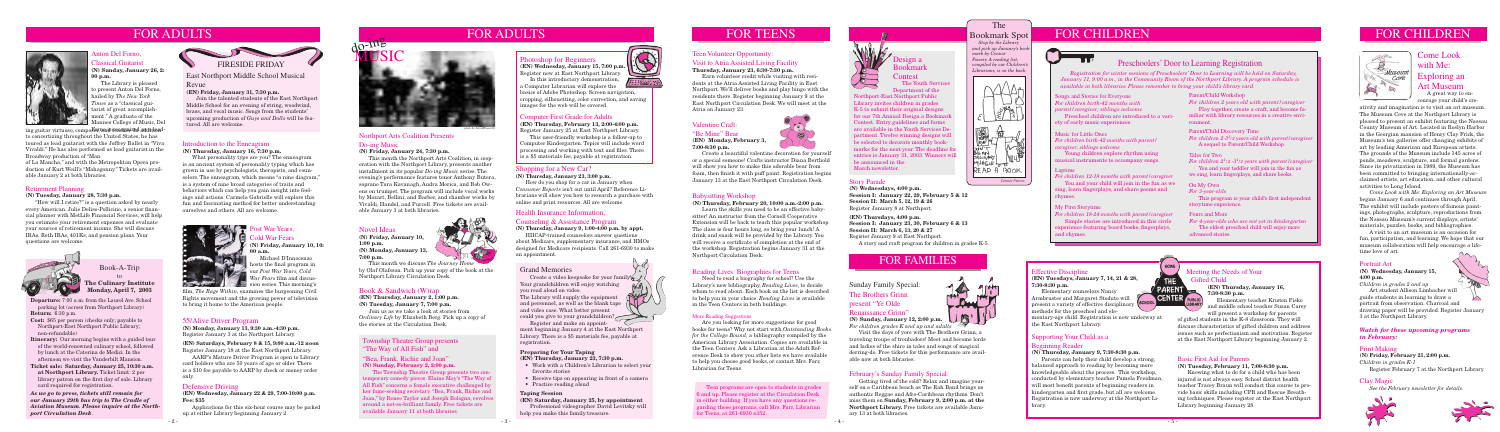# FOR ADULTS



**Departure:** 7:00 a.m. from the Laurel Ave. School parking lot (across from Northport Library) **Return:** 6:30 p.m.

**Cost:** \$65 per person (checks only; payable to Northport-East Northport Public Library; non-refundable)

**Itinerary:** Our morning begins with a guided tour of the world-renowned culinary school, followed by lunch at the Caterina de Medici. In the afternoon we visit the Vanderbilt Mansion.

**Ticket sale: Saturday, January 25, 10:30 a.m. at Northport Library.** Ticket limit: 2 per library patron on the first day of sale. Library card required for registration.

## Book-A-Trip to **The Culinary Institute**

**Monday, April 7, 2003**

# FOR ADULTS

## Health Insurance Information,

## Counseling & Assistance Program

**(N) Thursday, January 9, 1:00-4:00 p.m. by appt.**

**(EN) Wednesday, January 15, 7:00 p.m.** Register now at East Northport Library. In this introductory demonstration,

HIICAP-trained counselors answer questions about Medicare, supplementary insurance, and HMOs designed for Medicare recipients. Call 261-6930 to make an appointment.

**AHIMAN** a Computer Librarian will explore the basics of Adobe Photoshop. Screen navigation, cropping, silhouetting, color correction, and saving images for the web will be covered.





## The

#### Bookmark Spot  *Stop by the Library and pick up January's bookmark by Connor Powers. A reading list, compiled by our Children's Librarians, is on the back.*



# FOR CHILDREN FOR CHILDREN

## Computer First Grade for Adults

**(EN) Thursday, February 13, 2:00-4:00 p.m.** Register January 25 at East Northport Library.

 This user-friendly workshop is a follow-up to Computer Kindergarten. Topics will include word processing and working with text and files. There is a \$5 materials fee, payable at registration.

# Come Look with Me: Exploring an Art Museum

 A great way to encourage your child's cre-

## Photoshop for Beginners

## Anton Del Forno, **Tassical Guitarist (N) Sunday, January 26, 2: 00 p.m.**

 The Library is pleased o present Anton Del Forno, hailed by *The New York Times* as a "classical guitarist of great accomplishment." A graduate of the Mannes College of Music, Del

- Work with a Children's Librarian to select your favorite stories
- Receive tips on appearing in front of a camera
- Practice reading aloud

## Effective Discipline

**(EN) Tuesdays, January 7, 14, 21 & 28, 7:30-8:30 p.m.**

 Elementary counselors Nancy Armbruster and Margaret Stoduto will present a variety of effective disciplinary methods for the preschool and ele-

mentary-age child. Registration is now underway at the East Northport Library.

## Supporting Your Child as a Beginning Reader

## **(N) Thursday, January 9, 7:30-8:30 p.m.**

 Parents can help their child develop a strong, balanced approach to reading by becoming more knowledgeable about the process. This workshop, conducted by elementary teacher Pamela Freidman, will most benefit parents of beginning readers in kindergarten and first grade, but all are welcome. Registration is now underway at the Northport Library.

## Meeting the Needs of Your Gifted Child

# **(EN) Thursday, January 16,**



Young children explore rhythm using musical instruments to accompany songs.

> Elementary teacher Kristen Fiske and middle school teacher Susan Carey will present a workshop for parents

of gifted students in the K-8 classroom. They will discuss characteristics of gifted children and address issues such as perfectionism and motivation. Register at the East Northport Library beginning January 2.

## Basic First Aid for Parents

**(N) Tuesday, February 11, 7:00-8:30 p.m.**

 Knowing what to do for a child who has been injured is not always easy. School district health teacher Tracey Braun will conduct this course to provide basic skills including CPR and Rescue Breathing techniques. Please register at the East Northport Library beginning January 28.



## Grand Memories

Create a video keepsake for your family Your grandchildren will enjoy watching you read aloud on video. The Library will supply the equipment and personnel, as well as the blank tape  $\left(\bigwedge\right)$ and video case. What better present could you give to your grandchildren?

 Register and make an appointment beginning January 4 at the East Northport Library. There is a \$5 materials fee, payable at registration.

## **Preparing for Your Taping**

**(EN) Thursday, January 23, 7:30 p.m.**

## **Taping Session**

**(EN) Saturday, January 25, by appointment** Professional videographer David Levitsky will help you make this family treasure.



Songs and Stories for Everyone *For children birth-42 months with parent/caregiver; siblings welcome* Preschool children are introduced to a vari-

ety of early music experiences.

## Laptime

*For children 12-18 months with parent/caregiver* You and your child will join in the fun as we sing, learn fingerplays, and share poems and rhymes.

### My First Storytime

*For children 18-24 months with parent/caregiver* Simple stories are introduced in this circle experience featuring board books, fingerplays, and rhymes.

## Parent/Child Workshop

*For children 2 years old with parent/caregiver* Play together, create a craft, and become familiar with library resources in a creative environment.

## Parent/Child Discovery Time

*For children 2-31 /2 years old with parent/caregiver* A sequel to Parent/Child Workshop.

## Tales for Two

*For children 21 /2 -31 /2 years with parent/caregiver* You and your toddler will join in the fun as we sing, learn fingerplays, and share books.

## Preschoolers' Door to Learning Registration

 *Registration for winter sessions of Preschoolers' Door to Learning will be held on Saturday, January 11, 9:00 a.m., in the Community Room of the Northport Library. A program schedule is available in both libraries. Please remember to bring your child's library card.*

## On My Own

*For 3-year-olds*

 This program is your child's first independent storytime experience.

## Fours and More

*For 4-year-olds who are not yet in kindergarten* The oldest preschool child will enjoy more advanced stories.

## Music for Little Ones

*For children birth-42 months with parent/ caregiver; siblings welcome*

**(EN) Wednesday, January 22 & 29, 7:00-10:00 p.m. Fee: \$35** 

 Applications for this six-hour course may be picked up at either Library beginning January 2.

## 55/Alive Driver Program

**(N) Monday, January 13, 9:30 a.m.-4:30 p.m.** Register January 3 at the Northport Library.

## The Youth Services Design a Bookmark Contest

#### **(EN) Saturdays, February 8 & 15, 9:00 a.m.-12 noon** Register January 18 at the East Northport Library.

ing guitar virtuoso, compo<del>sor, and teachai</del>z**nd as didned**to concertizing throughout the United States, he has toured as lead guitarist with the Joffrey Ballet in "Viva Vivaldi." He has also performed as lead guitarist in the Broadway production of "Man

> AARP's Mature Driver Program is open to Library card holders who are 50 years of age or older. There is a \$10 fee payable to AARP by check or money order only.

## Defensive Driving

## ost War Years, old War Fears **(N) Friday, January 10, 10:**

hosts the final program in our *Post War Years, Cold War Fears* film and discus-**Sigma** sion series. This morning's

## Retirement Planning

#### **(N) Tuesday, January 28, 7:30 p.m.**

 "How will I retire?" is a question asked by nearly every American. Julie Deliso-Pollicino, a senior financial planner with MetLife Financial Services, will help you estimate your retirement expenses and evaluate your sources of retirement income. She will discuss IRAs, Roth IRAs, 401Ks, and pension plans. Your questions are welcome.



## Introduction to the Enneagram

## **(N) Thursday, January 16, 7:30 p.m.**

 What personality type are you? The enneagram is an ancient system of personality typing which has grown in use by psychologists, therapists, and counselors. The enneagram, which means "a nine diagram," is a system of nine broad categories of traits and behaviors which can help you gain insight into feelings and actions. Carmela Gabrielle will explore this fun and fascinating method for better understanding ourselves and others. All are welcome.



## Township Theatre Group presents "The Way of All Fish" and

## "Bea, Frank, Richie and Joan" **(N) Sunday, February 2, 2:00 p.m.**

 The Township Theatre Group presents two contemporary comedy pieces. Elaine May's "The Way of All Fish" concerns a female executive challenged by her fame-seeking secretary. "Bea, Frank, Richie and Joan," by Renee Taylor and Joseph Bologna, revolves around a not-so-brilliant family. Free tickets are available January 11 at both libraries.

# FOR FAMILIES

Sunday Family Special: The Brothers Grinn present "Ye Olde Renaissance Grinn"

## **(N) Sunday, January 12, 2:00 p.m.**

*For children grades K and up and adults* Visit the days of yore with The Brothers Grinn, a

traveling troupe of troubadors! Meet and become lords and ladies of the shire in tales and songs of magical derring-do. Free tickets for this performance are available now at both libraries.

## February's Sunday Family Special:

 Getting tired of the cold? Relax and imagine yourself on a Caribbean beach as The Rah Band brings us authentic Reggae and Afro-Caribbean rhythms. Don't miss them on **Sunday, February 9, 2:00 p.m. at the Northport Library.** Free tickets are available January 13 at both libraries.





## Northport Arts Coalition Presents Do-ing Music

## **(N) Friday, January 24, 7:30 p.m.**

 This month the Northport Arts Coalition, in cooperation with the Northport Library, presents another installment in its popular *Do-ing Music* series. The evening's performance features tenor Anthony Butera, soprano Tara Kavanagh, Audra Morica, and Bob Owens on trumpet. The program will include vocal works by Mozart, Bellini, and Barber, and chamber works by Vivaldi, Handel, and Purcell. Free tickets are available January 3 at both libraries.

ativity and imagination is to visit an art museum. The Museum Cove at the Northport Library is pleased to present an exhibit featuring the Nassau County Museum of Art. Located in Roslyn Harbor in the Georgian mansion of Henry Clay Frick, the Museum's ten galleries offer changing exhibits of art by leading American and European artists. The grounds of the Museum include 145 acres of ponds, meadows, sculpture, and formal gardens. Since its privatization in 1989, the Museum has been committed to bringing internationally-acclaimed artists, art education, and other cultural activities to Long Island.

 *Come Look with Me: Exploring an Art Museum* begins January 6 and continues through April. The exhibit will include posters of famous paintings, photographs, sculpture, reproductions from the Nassau Museum's current displays, artists' materials, puzzles, books, and bibliographies.

 A visit to an art museum is an occasion for fun, participation, and learning. We hope that our museum collaboration will help encourage a lifetime love of art.

### Teen Volunteer Opportunity:

## Visit to Atria Assisted Living Facility

## **Thursday, January 23, 6:30-7:30 p.m.**

 Earn volunteer credit while visiting with residents at the Atria Assisted Living Facility in East Northport. We'll deliver books and play bingo with the residents there. Register beginning January 9 at the East Northport Circulation Desk. We will meet at the Atria on January 23.

## Valentine Craft:

## "Be Mine" Bear

**(EN) Monday, February 3, 7:00-8:30 p.m.**

 Create a beautiful valentine decoration for yourself or a special someone! Crafts instructor Diana Berthold will show you how to make this adorable bear from foam, then finish it with puff paint. Registration begins January 13 at the East Northport Circulation Desk.

## Babysitting Workshop

**(N) Thursday, February 20, 10:00 a.m.-2:00 p.m.**

 Learn the skills you need to be an effective babysitter! An instructor from the Cornell Cooperative Extension will be back to teach this popular workshop. The class is four hours long, so bring your lunch! A drink and snack will be provided by the Library. You will receive a certificate of completion at the end of the workshop. Registration begins January 31 at the Northport Circulation Desk.

## Reading Lives: Biographies for Teens

 Need to read a biography for school? Use the Library's new bibliography, *Reading Lives*, to decide whom to read about. Each book on the list is described to help you in your choice. *Reading Lives* is available in the Teen Centers in both buildings.

#### More Reading Suggestions

 Are you looking for more suggestions for good books for teens? Why not start with *Outstanding Books for the College Bound,* a bibliography compiled by the American Library Association. Copies are available in the Teen Centers. Ask a Librarian at the Adult Reference Desk to show you other lists we have available to help you choose good books, or contact Mrs. Farr, Librarian for Teens.

 Department of the Northport-East Northport Public Library invites children in grades K-5 to submit their original designs for our 7th Annual Design a Bookmark Contest. Entry guidelines and forms are available in the Youth Services Department. Twelve winning designs will be selected to decorate monthly bookmarks for the next year. The deadline for entries is January 31, 2003. Winners will be announced in the March newsletter.

# FOR TEENS

of La Mancha," and with the Metropolitan Opera production of Kurt Weill's "Mahagonny." Tickets are available January 2 at both libraries.

> **00 a.m.** Michael D'Innocenzo

## Novel Ideas

**(N) Friday, January 10, 1:00 p.m. (N) Monday, January 13, 7:00 p.m.**



 This month we discuss *The Journey Home*  by Olaf Olafsson. Pick up your copy of the book at the Northport Library Circulation Desk.

## Book & Sandwich (W)rap

**(EN) Thursday, January 2, 1:00 p.m. (N) Tuesday, January 7, 7:00 p.m.**

Join us as we take a look at stories from *Ordinary Life* by Elizabeth Berg. Pick up a copy of the stories at the Circulation Desk.





East Northport Middle School Musical

## Revue

**(EN) Friday, January 31, 7:30 p.m.**

 Join the talented students of the East Northport Middle School for an evening of string, woodwind, brass, and vocal music. Songs from the students' upcoming production of *Guys and Dolls* will be featured. All are welcome.

film, *The Rage Within*, examines the burgeoning Civil Rights movement and the growing power of television to bring it home to the American people.

#### *photo by John Ellsworth*

## Portrait Art

#### **(N) Wednesday, January 15, 4:00 p.m.**

*Children in grades 2 and up*

 Art student Allison Limbacher will guide students in learning to draw a portrait from observation. Charcoal and drawing paper will be provided. Register January 3 at the Northport Library.

*As we go to press, tickets still remain for our January 29th bus trip to The Cradle of Aviation Museum. Please inquire at the Northport Circulation Desk*.

 Teen programs are open to students in grades 6 and up. Please register at the Circulation Desk in either building. If you have any questions regarding these programs, call Mrs. Farr, Librarian for Teens, at 261-6930 x352.



## Shopping for a New Car?

**(N) Thursday, January 23, 3:00 p.m.**

How do you shop for a car in January when *Consumer Reports* isn't out until April? Reference Librarians will show you how to research a purchase with online and print resources. All are welcome.

## Story Parade

**(N) Wednesdays, 4:00 p.m. Session I: January 22, 29, February 5 & 12 Session II: March 5, 12, 19 & 26** Register January 8 at Northport.

**(EN) Thursdays, 4:00 p.m. Session I: January 23, 30, February 6 & 13 Session II: March 6, 13, 20 & 27** Register January 9 at East Northport.

A story and craft program for children in grades K-5.

## *Watch for these upcoming programs in February:*

## Print Making

**(N) Friday, February 21, 2:00 p.m.** *Children in grades K-1* Register February 7 at the Northport Library.

## Clay Magic

 *See the February newsletter for details.*